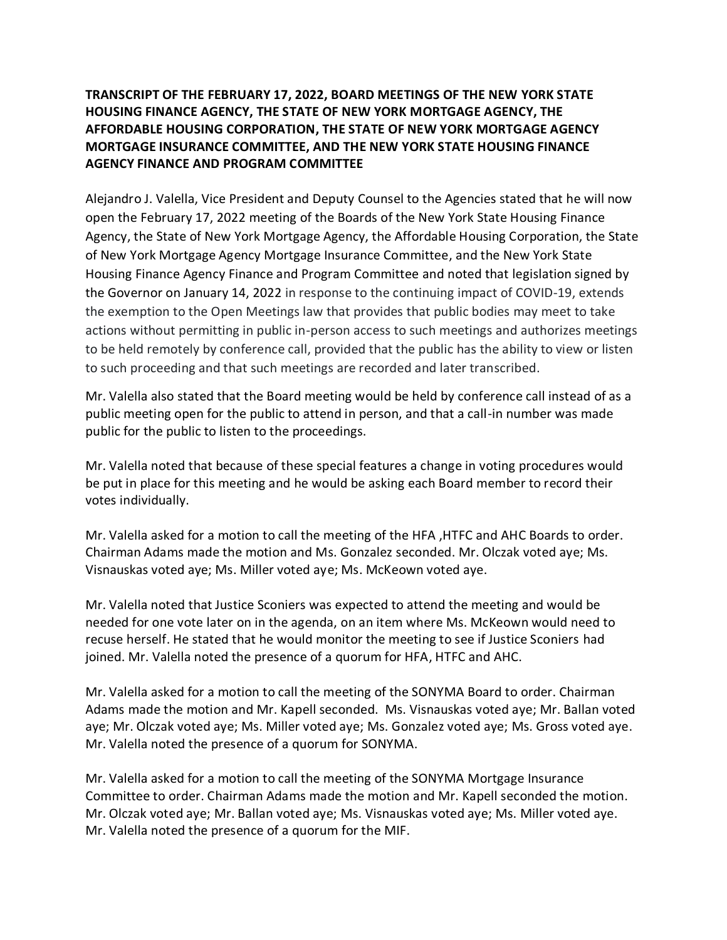# **TRANSCRIPT OF THE FEBRUARY 17, 2022, BOARD MEETINGS OF THE NEW YORK STATE HOUSING FINANCE AGENCY, THE STATE OF NEW YORK MORTGAGE AGENCY, THE AFFORDABLE HOUSING CORPORATION, THE STATE OF NEW YORK MORTGAGE AGENCY MORTGAGE INSURANCE COMMITTEE, AND THE NEW YORK STATE HOUSING FINANCE AGENCY FINANCE AND PROGRAM COMMITTEE**

Alejandro J. Valella, Vice President and Deputy Counsel to the Agencies stated that he will now open the February 17, 2022 meeting of the Boards of the New York State Housing Finance Agency, the State of New York Mortgage Agency, the Affordable Housing Corporation, the State of New York Mortgage Agency Mortgage Insurance Committee, and the New York State Housing Finance Agency Finance and Program Committee and noted that legislation signed by the Governor on January 14, 2022 in response to the continuing impact of COVID-19, extends the exemption to the Open Meetings law that provides that public bodies may meet to take actions without permitting in public in-person access to such meetings and authorizes meetings to be held remotely by conference call, provided that the public has the ability to view or listen to such proceeding and that such meetings are recorded and later transcribed.

Mr. Valella also stated that the Board meeting would be held by conference call instead of as a public meeting open for the public to attend in person, and that a call-in number was made public for the public to listen to the proceedings.

Mr. Valella noted that because of these special features a change in voting procedures would be put in place for this meeting and he would be asking each Board member to record their votes individually.

Mr. Valella asked for a motion to call the meeting of the HFA ,HTFC and AHC Boards to order. Chairman Adams made the motion and Ms. Gonzalez seconded. Mr. Olczak voted aye; Ms. Visnauskas voted aye; Ms. Miller voted aye; Ms. McKeown voted aye.

Mr. Valella noted that Justice Sconiers was expected to attend the meeting and would be needed for one vote later on in the agenda, on an item where Ms. McKeown would need to recuse herself. He stated that he would monitor the meeting to see if Justice Sconiers had joined. Mr. Valella noted the presence of a quorum for HFA, HTFC and AHC.

Mr. Valella asked for a motion to call the meeting of the SONYMA Board to order. Chairman Adams made the motion and Mr. Kapell seconded. Ms. Visnauskas voted aye; Mr. Ballan voted aye; Mr. Olczak voted aye; Ms. Miller voted aye; Ms. Gonzalez voted aye; Ms. Gross voted aye. Mr. Valella noted the presence of a quorum for SONYMA.

Mr. Valella asked for a motion to call the meeting of the SONYMA Mortgage Insurance Committee to order. Chairman Adams made the motion and Mr. Kapell seconded the motion. Mr. Olczak voted aye; Mr. Ballan voted aye; Ms. Visnauskas voted aye; Ms. Miller voted aye. Mr. Valella noted the presence of a quorum for the MIF.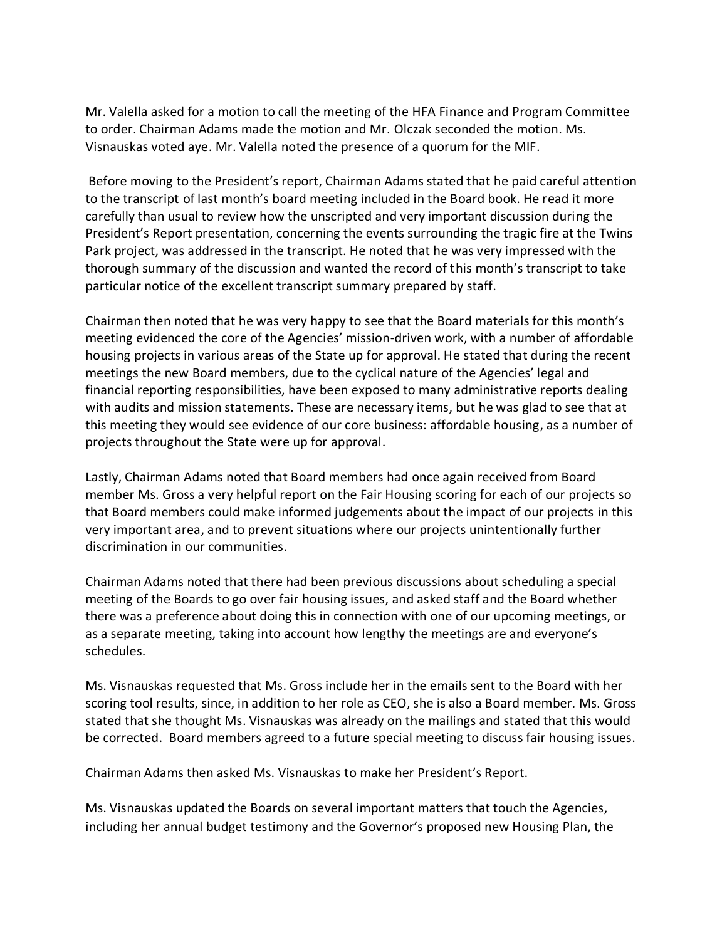Mr. Valella asked for a motion to call the meeting of the HFA Finance and Program Committee to order. Chairman Adams made the motion and Mr. Olczak seconded the motion. Ms. Visnauskas voted aye. Mr. Valella noted the presence of a quorum for the MIF.

Before moving to the President's report, Chairman Adams stated that he paid careful attention to the transcript of last month's board meeting included in the Board book. He read it more carefully than usual to review how the unscripted and very important discussion during the President's Report presentation, concerning the events surrounding the tragic fire at the Twins Park project, was addressed in the transcript. He noted that he was very impressed with the thorough summary of the discussion and wanted the record of this month's transcript to take particular notice of the excellent transcript summary prepared by staff.

Chairman then noted that he was very happy to see that the Board materials for this month's meeting evidenced the core of the Agencies' mission-driven work, with a number of affordable housing projects in various areas of the State up for approval. He stated that during the recent meetings the new Board members, due to the cyclical nature of the Agencies' legal and financial reporting responsibilities, have been exposed to many administrative reports dealing with audits and mission statements. These are necessary items, but he was glad to see that at this meeting they would see evidence of our core business: affordable housing, as a number of projects throughout the State were up for approval.

Lastly, Chairman Adams noted that Board members had once again received from Board member Ms. Gross a very helpful report on the Fair Housing scoring for each of our projects so that Board members could make informed judgements about the impact of our projects in this very important area, and to prevent situations where our projects unintentionally further discrimination in our communities.

Chairman Adams noted that there had been previous discussions about scheduling a special meeting of the Boards to go over fair housing issues, and asked staff and the Board whether there was a preference about doing this in connection with one of our upcoming meetings, or as a separate meeting, taking into account how lengthy the meetings are and everyone's schedules.

Ms. Visnauskas requested that Ms. Gross include her in the emails sent to the Board with her scoring tool results, since, in addition to her role as CEO, she is also a Board member. Ms. Gross stated that she thought Ms. Visnauskas was already on the mailings and stated that this would be corrected. Board members agreed to a future special meeting to discuss fair housing issues.

Chairman Adams then asked Ms. Visnauskas to make her President's Report.

Ms. Visnauskas updated the Boards on several important matters that touch the Agencies, including her annual budget testimony and the Governor's proposed new Housing Plan, the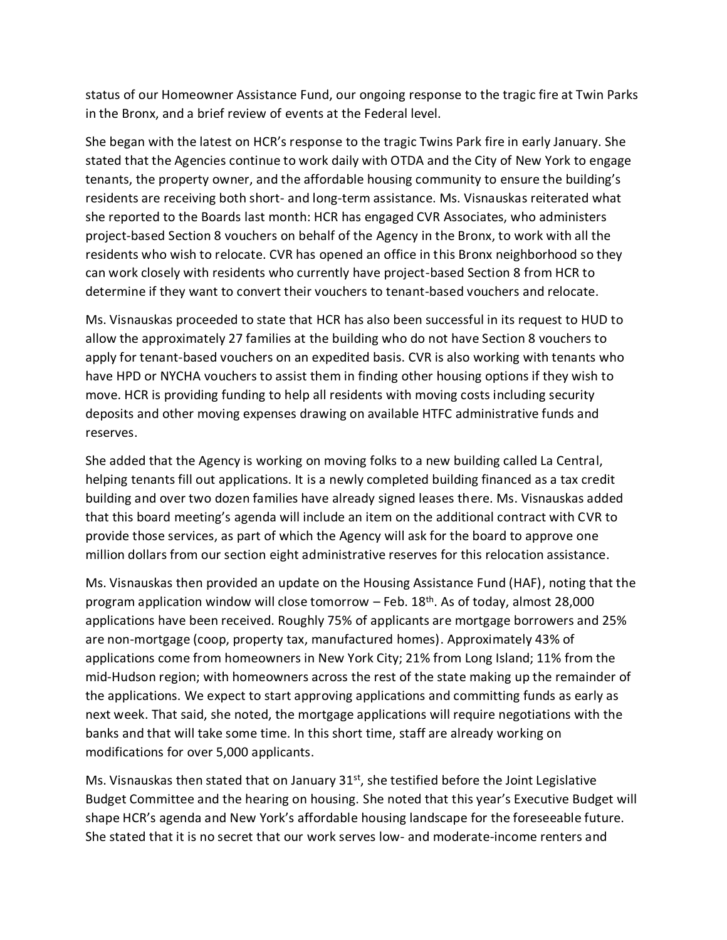status of our Homeowner Assistance Fund, our ongoing response to the tragic fire at Twin Parks in the Bronx, and a brief review of events at the Federal level.

She began with the latest on HCR's response to the tragic Twins Park fire in early January. She stated that the Agencies continue to work daily with OTDA and the City of New York to engage tenants, the property owner, and the affordable housing community to ensure the building's residents are receiving both short- and long-term assistance. Ms. Visnauskas reiterated what she reported to the Boards last month: HCR has engaged CVR Associates, who administers project-based Section 8 vouchers on behalf of the Agency in the Bronx, to work with all the residents who wish to relocate. CVR has opened an office in this Bronx neighborhood so they can work closely with residents who currently have project-based Section 8 from HCR to determine if they want to convert their vouchers to tenant-based vouchers and relocate.

Ms. Visnauskas proceeded to state that HCR has also been successful in its request to HUD to allow the approximately 27 families at the building who do not have Section 8 vouchers to apply for tenant-based vouchers on an expedited basis. CVR is also working with tenants who have HPD or NYCHA vouchers to assist them in finding other housing options if they wish to move. HCR is providing funding to help all residents with moving costs including security deposits and other moving expenses drawing on available HTFC administrative funds and reserves.

She added that the Agency is working on moving folks to a new building called La Central, helping tenants fill out applications. It is a newly completed building financed as a tax credit building and over two dozen families have already signed leases there. Ms. Visnauskas added that this board meeting's agenda will include an item on the additional contract with CVR to provide those services, as part of which the Agency will ask for the board to approve one million dollars from our section eight administrative reserves for this relocation assistance.

Ms. Visnauskas then provided an update on the Housing Assistance Fund (HAF), noting that the program application window will close tomorrow  $-$  Feb. 18<sup>th</sup>. As of today, almost 28,000 applications have been received. Roughly 75% of applicants are mortgage borrowers and 25% are non-mortgage (coop, property tax, manufactured homes). Approximately 43% of applications come from homeowners in New York City; 21% from Long Island; 11% from the mid-Hudson region; with homeowners across the rest of the state making up the remainder of the applications. We expect to start approving applications and committing funds as early as next week. That said, she noted, the mortgage applications will require negotiations with the banks and that will take some time. In this short time, staff are already working on modifications for over 5,000 applicants.

Ms. Visnauskas then stated that on January 31<sup>st</sup>, she testified before the Joint Legislative Budget Committee and the hearing on housing. She noted that this year's Executive Budget will shape HCR's agenda and New York's affordable housing landscape for the foreseeable future. She stated that it is no secret that our work serves low- and moderate-income renters and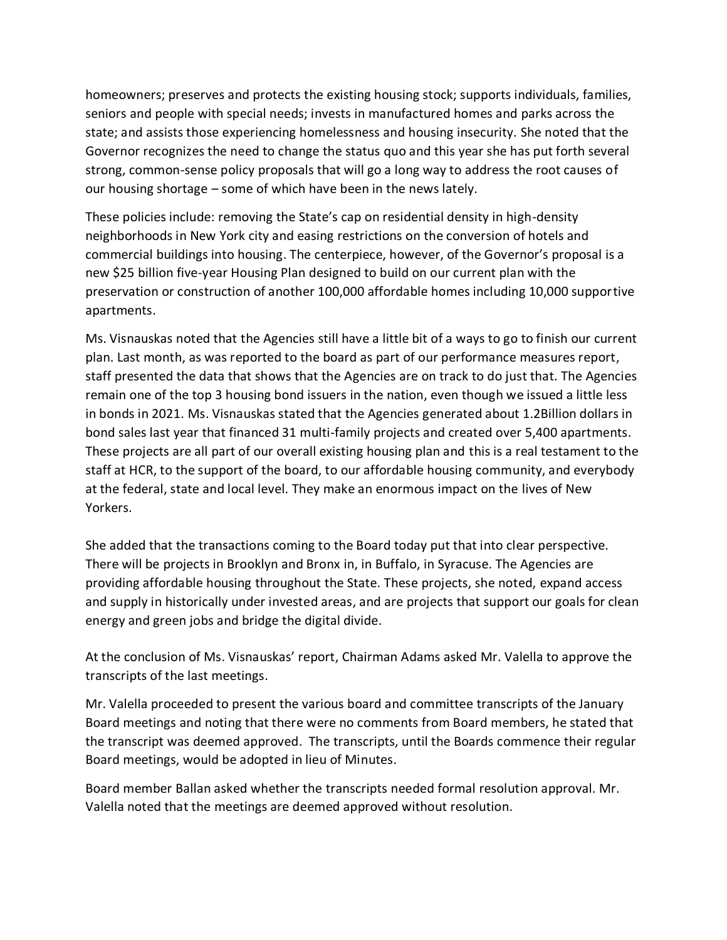homeowners; preserves and protects the existing housing stock; supports individuals, families, seniors and people with special needs; invests in manufactured homes and parks across the state; and assists those experiencing homelessness and housing insecurity. She noted that the Governor recognizes the need to change the status quo and this year she has put forth several strong, common-sense policy proposals that will go a long way to address the root causes of our housing shortage – some of which have been in the news lately.

These policies include: removing the State's cap on residential density in high-density neighborhoods in New York city and easing restrictions on the conversion of hotels and commercial buildings into housing. The centerpiece, however, of the Governor's proposal is a new \$25 billion five-year Housing Plan designed to build on our current plan with the preservation or construction of another 100,000 affordable homes including 10,000 supportive apartments.

Ms. Visnauskas noted that the Agencies still have a little bit of a ways to go to finish our current plan. Last month, as was reported to the board as part of our performance measures report, staff presented the data that shows that the Agencies are on track to do just that. The Agencies remain one of the top 3 housing bond issuers in the nation, even though we issued a little less in bonds in 2021. Ms. Visnauskas stated that the Agencies generated about 1.2Billion dollars in bond sales last year that financed 31 multi-family projects and created over 5,400 apartments. These projects are all part of our overall existing housing plan and this is a real testament to the staff at HCR, to the support of the board, to our affordable housing community, and everybody at the federal, state and local level. They make an enormous impact on the lives of New Yorkers.

She added that the transactions coming to the Board today put that into clear perspective. There will be projects in Brooklyn and Bronx in, in Buffalo, in Syracuse. The Agencies are providing affordable housing throughout the State. These projects, she noted, expand access and supply in historically under invested areas, and are projects that support our goals for clean energy and green jobs and bridge the digital divide.

At the conclusion of Ms. Visnauskas' report, Chairman Adams asked Mr. Valella to approve the transcripts of the last meetings.

Mr. Valella proceeded to present the various board and committee transcripts of the January Board meetings and noting that there were no comments from Board members, he stated that the transcript was deemed approved. The transcripts, until the Boards commence their regular Board meetings, would be adopted in lieu of Minutes.

Board member Ballan asked whether the transcripts needed formal resolution approval. Mr. Valella noted that the meetings are deemed approved without resolution.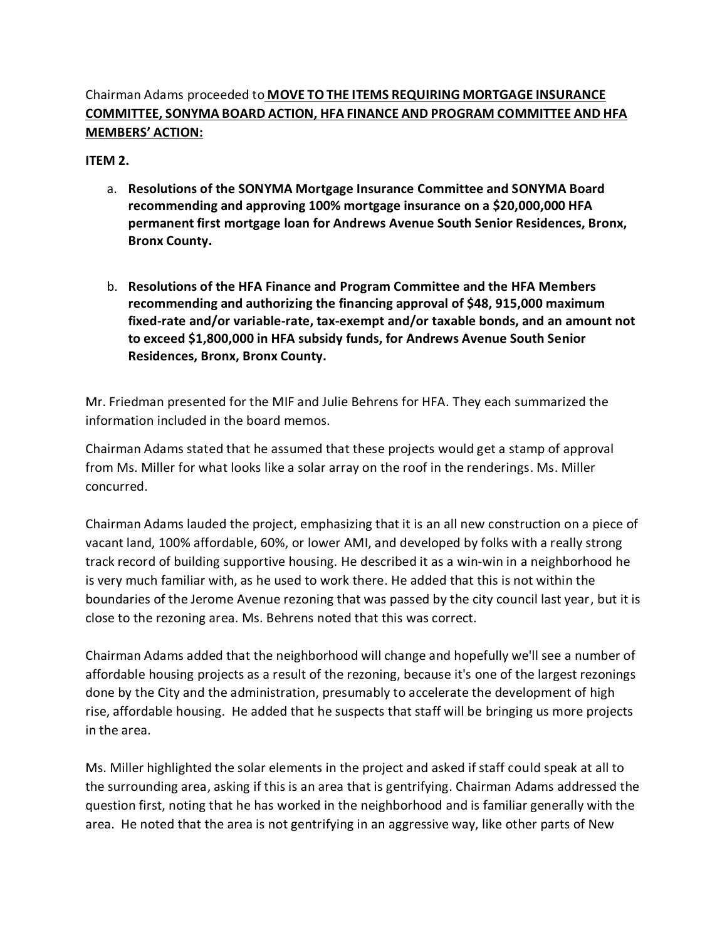# Chairman Adams proceeded to **MOVE TO THE ITEMS REQUIRING MORTGAGE INSURANCE COMMITTEE, SONYMA BOARD ACTION, HFA FINANCE AND PROGRAM COMMITTEE AND HFA MEMBERS' ACTION:**

**ITEM 2.**

- a. **Resolutions of the SONYMA Mortgage Insurance Committee and SONYMA Board recommending and approving 100% mortgage insurance on a \$20,000,000 HFA permanent first mortgage loan for Andrews Avenue South Senior Residences, Bronx, Bronx County.**
- b. **Resolutions of the HFA Finance and Program Committee and the HFA Members recommending and authorizing the financing approval of \$48, 915,000 maximum fixed-rate and/or variable-rate, tax-exempt and/or taxable bonds, and an amount not to exceed \$1,800,000 in HFA subsidy funds, for Andrews Avenue South Senior Residences, Bronx, Bronx County.**

Mr. Friedman presented for the MIF and Julie Behrens for HFA. They each summarized the information included in the board memos.

Chairman Adams stated that he assumed that these projects would get a stamp of approval from Ms. Miller for what looks like a solar array on the roof in the renderings. Ms. Miller concurred.

Chairman Adams lauded the project, emphasizing that it is an all new construction on a piece of vacant land, 100% affordable, 60%, or lower AMI, and developed by folks with a really strong track record of building supportive housing. He described it as a win-win in a neighborhood he is very much familiar with, as he used to work there. He added that this is not within the boundaries of the Jerome Avenue rezoning that was passed by the city council last year, but it is close to the rezoning area. Ms. Behrens noted that this was correct.

Chairman Adams added that the neighborhood will change and hopefully we'll see a number of affordable housing projects as a result of the rezoning, because it's one of the largest rezonings done by the City and the administration, presumably to accelerate the development of high rise, affordable housing. He added that he suspects that staff will be bringing us more projects in the area.

Ms. Miller highlighted the solar elements in the project and asked if staff could speak at all to the surrounding area, asking if this is an area that is gentrifying. Chairman Adams addressed the question first, noting that he has worked in the neighborhood and is familiar generally with the area. He noted that the area is not gentrifying in an aggressive way, like other parts of New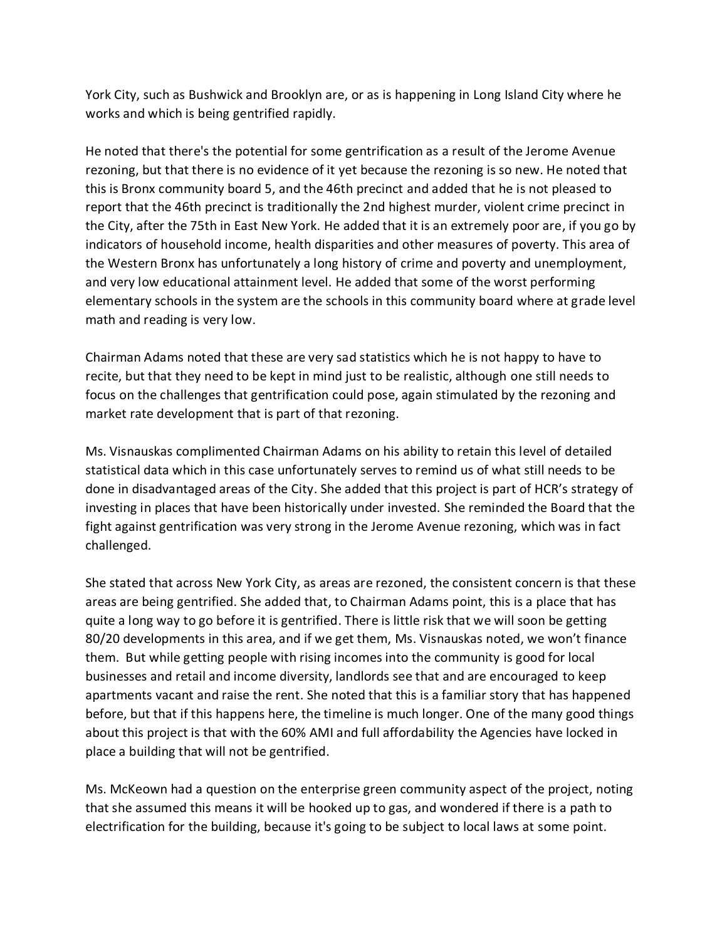York City, such as Bushwick and Brooklyn are, or as is happening in Long Island City where he works and which is being gentrified rapidly.

He noted that there's the potential for some gentrification as a result of the Jerome Avenue rezoning, but that there is no evidence of it yet because the rezoning is so new. He noted that this is Bronx community board 5, and the 46th precinct and added that he is not pleased to report that the 46th precinct is traditionally the 2nd highest murder, violent crime precinct in the City, after the 75th in East New York. He added that it is an extremely poor are, if you go by indicators of household income, health disparities and other measures of poverty. This area of the Western Bronx has unfortunately a long history of crime and poverty and unemployment, and very low educational attainment level. He added that some of the worst performing elementary schools in the system are the schools in this community board where at grade level math and reading is very low.

Chairman Adams noted that these are very sad statistics which he is not happy to have to recite, but that they need to be kept in mind just to be realistic, although one still needs to focus on the challenges that gentrification could pose, again stimulated by the rezoning and market rate development that is part of that rezoning.

Ms. Visnauskas complimented Chairman Adams on his ability to retain this level of detailed statistical data which in this case unfortunately serves to remind us of what still needs to be done in disadvantaged areas of the City. She added that this project is part of HCR's strategy of investing in places that have been historically under invested. She reminded the Board that the fight against gentrification was very strong in the Jerome Avenue rezoning, which was in fact challenged.

She stated that across New York City, as areas are rezoned, the consistent concern is that these areas are being gentrified. She added that, to Chairman Adams point, this is a place that has quite a long way to go before it is gentrified. There is little risk that we will soon be getting 80/20 developments in this area, and if we get them, Ms. Visnauskas noted, we won't finance them. But while getting people with rising incomes into the community is good for local businesses and retail and income diversity, landlords see that and are encouraged to keep apartments vacant and raise the rent. She noted that this is a familiar story that has happened before, but that if this happens here, the timeline is much longer. One of the many good things about this project is that with the 60% AMI and full affordability the Agencies have locked in place a building that will not be gentrified.

Ms. McKeown had a question on the enterprise green community aspect of the project, noting that she assumed this means it will be hooked up to gas, and wondered if there is a path to electrification for the building, because it's going to be subject to local laws at some point.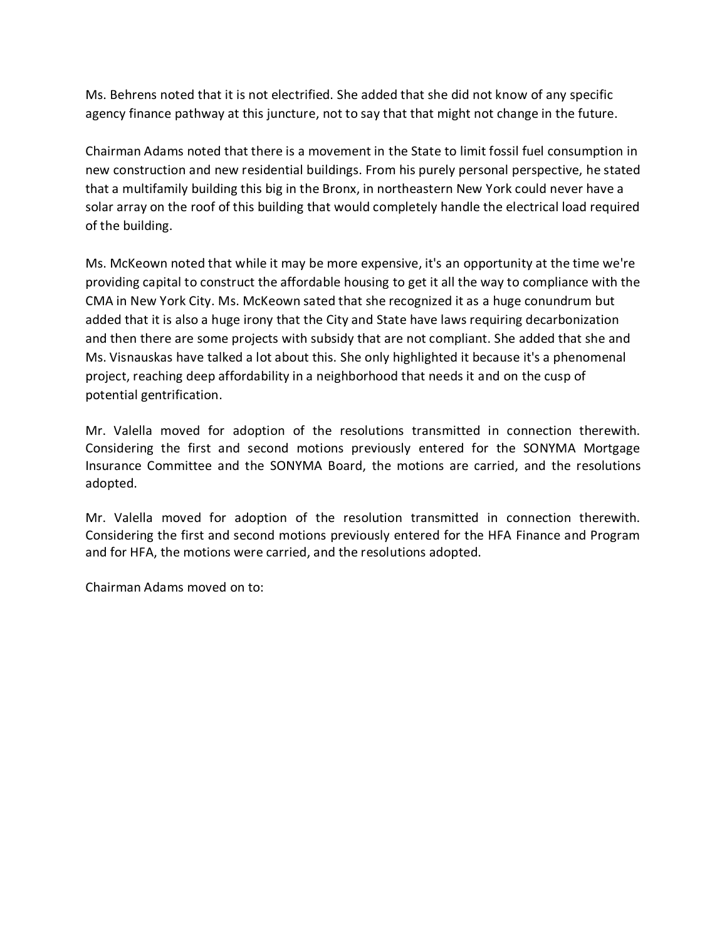Ms. Behrens noted that it is not electrified. She added that she did not know of any specific agency finance pathway at this juncture, not to say that that might not change in the future.

Chairman Adams noted that there is a movement in the State to limit fossil fuel consumption in new construction and new residential buildings. From his purely personal perspective, he stated that a multifamily building this big in the Bronx, in northeastern New York could never have a solar array on the roof of this building that would completely handle the electrical load required of the building.

Ms. McKeown noted that while it may be more expensive, it's an opportunity at the time we're providing capital to construct the affordable housing to get it all the way to compliance with the CMA in New York City. Ms. McKeown sated that she recognized it as a huge conundrum but added that it is also a huge irony that the City and State have laws requiring decarbonization and then there are some projects with subsidy that are not compliant. She added that she and Ms. Visnauskas have talked a lot about this. She only highlighted it because it's a phenomenal project, reaching deep affordability in a neighborhood that needs it and on the cusp of potential gentrification.

Mr. Valella moved for adoption of the resolutions transmitted in connection therewith. Considering the first and second motions previously entered for the SONYMA Mortgage Insurance Committee and the SONYMA Board, the motions are carried, and the resolutions adopted.

Mr. Valella moved for adoption of the resolution transmitted in connection therewith. Considering the first and second motions previously entered for the HFA Finance and Program and for HFA, the motions were carried, and the resolutions adopted.

Chairman Adams moved on to: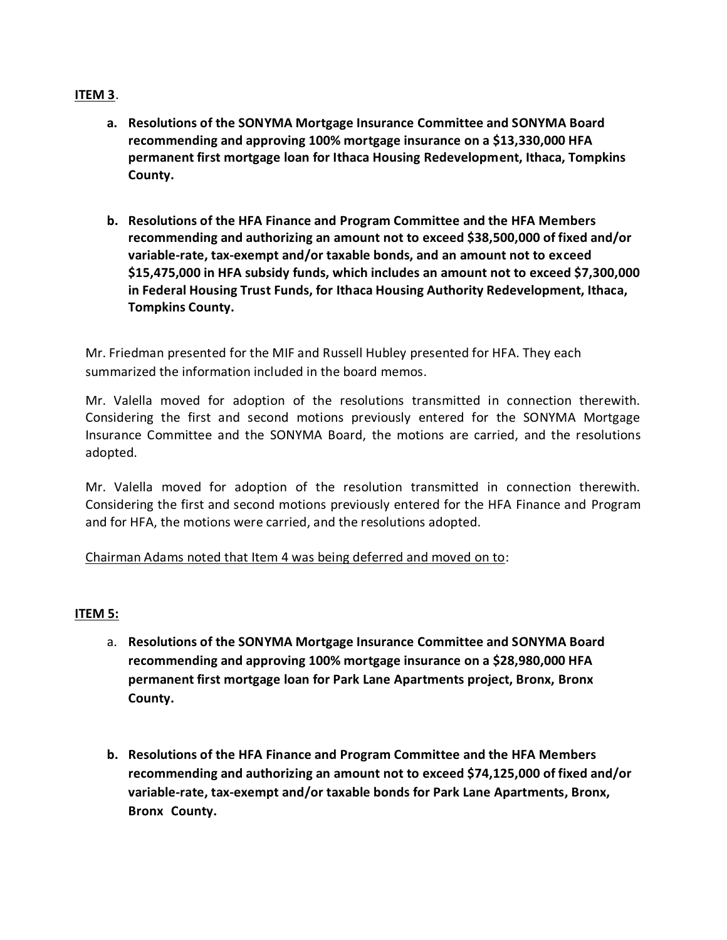### **ITEM 3**.

- **a. Resolutions of the SONYMA Mortgage Insurance Committee and SONYMA Board recommending and approving 100% mortgage insurance on a \$13,330,000 HFA permanent first mortgage loan for Ithaca Housing Redevelopment, Ithaca, Tompkins County.**
- **b. Resolutions of the HFA Finance and Program Committee and the HFA Members recommending and authorizing an amount not to exceed \$38,500,000 of fixed and/or variable-rate, tax-exempt and/or taxable bonds, and an amount not to exceed \$15,475,000 in HFA subsidy funds, which includes an amount not to exceed \$7,300,000 in Federal Housing Trust Funds, for Ithaca Housing Authority Redevelopment, Ithaca, Tompkins County.**

Mr. Friedman presented for the MIF and Russell Hubley presented for HFA. They each summarized the information included in the board memos.

Mr. Valella moved for adoption of the resolutions transmitted in connection therewith. Considering the first and second motions previously entered for the SONYMA Mortgage Insurance Committee and the SONYMA Board, the motions are carried, and the resolutions adopted.

Mr. Valella moved for adoption of the resolution transmitted in connection therewith. Considering the first and second motions previously entered for the HFA Finance and Program and for HFA, the motions were carried, and the resolutions adopted.

### Chairman Adams noted that Item 4 was being deferred and moved on to:

### **ITEM 5:**

- a. **Resolutions of the SONYMA Mortgage Insurance Committee and SONYMA Board recommending and approving 100% mortgage insurance on a \$28,980,000 HFA permanent first mortgage loan for Park Lane Apartments project, Bronx, Bronx County.**
- **b. Resolutions of the HFA Finance and Program Committee and the HFA Members recommending and authorizing an amount not to exceed \$74,125,000 of fixed and/or variable-rate, tax-exempt and/or taxable bonds for Park Lane Apartments, Bronx, Bronx County.**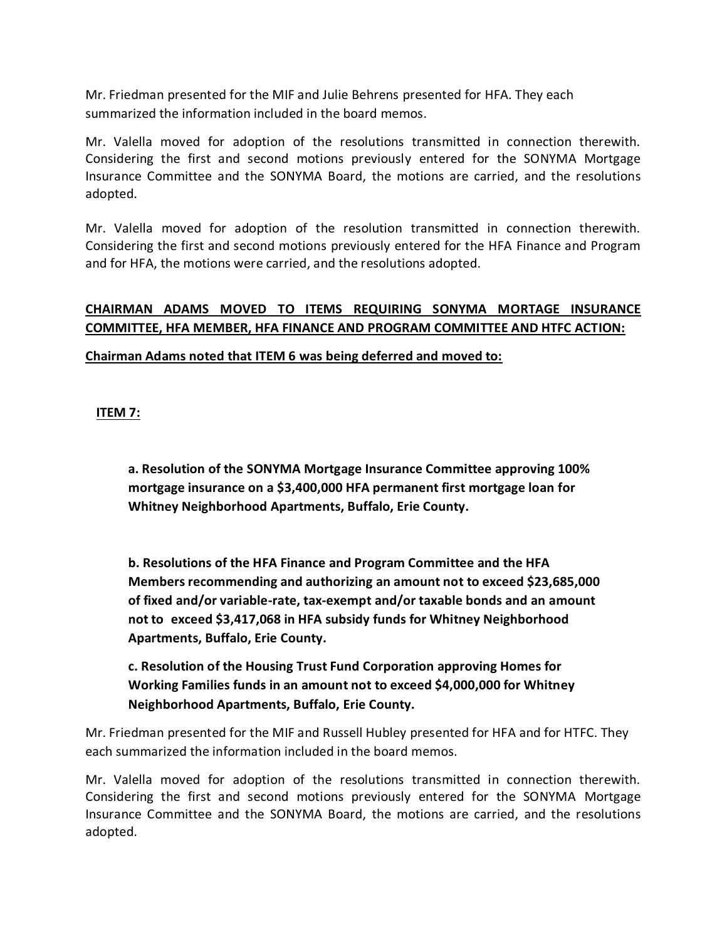Mr. Friedman presented for the MIF and Julie Behrens presented for HFA. They each summarized the information included in the board memos.

Mr. Valella moved for adoption of the resolutions transmitted in connection therewith. Considering the first and second motions previously entered for the SONYMA Mortgage Insurance Committee and the SONYMA Board, the motions are carried, and the resolutions adopted.

Mr. Valella moved for adoption of the resolution transmitted in connection therewith. Considering the first and second motions previously entered for the HFA Finance and Program and for HFA, the motions were carried, and the resolutions adopted.

# **CHAIRMAN ADAMS MOVED TO ITEMS REQUIRING SONYMA MORTAGE INSURANCE COMMITTEE, HFA MEMBER, HFA FINANCE AND PROGRAM COMMITTEE AND HTFC ACTION:**

**Chairman Adams noted that ITEM 6 was being deferred and moved to:**

**ITEM 7:**

**a. Resolution of the SONYMA Mortgage Insurance Committee approving 100% mortgage insurance on a \$3,400,000 HFA permanent first mortgage loan for Whitney Neighborhood Apartments, Buffalo, Erie County.**

**b. Resolutions of the HFA Finance and Program Committee and the HFA Members recommending and authorizing an amount not to exceed \$23,685,000 of fixed and/or variable-rate, tax-exempt and/or taxable bonds and an amount not to exceed \$3,417,068 in HFA subsidy funds for Whitney Neighborhood Apartments, Buffalo, Erie County.**

**c. Resolution of the Housing Trust Fund Corporation approving Homes for Working Families funds in an amount not to exceed \$4,000,000 for Whitney Neighborhood Apartments, Buffalo, Erie County.**

Mr. Friedman presented for the MIF and Russell Hubley presented for HFA and for HTFC. They each summarized the information included in the board memos.

Mr. Valella moved for adoption of the resolutions transmitted in connection therewith. Considering the first and second motions previously entered for the SONYMA Mortgage Insurance Committee and the SONYMA Board, the motions are carried, and the resolutions adopted.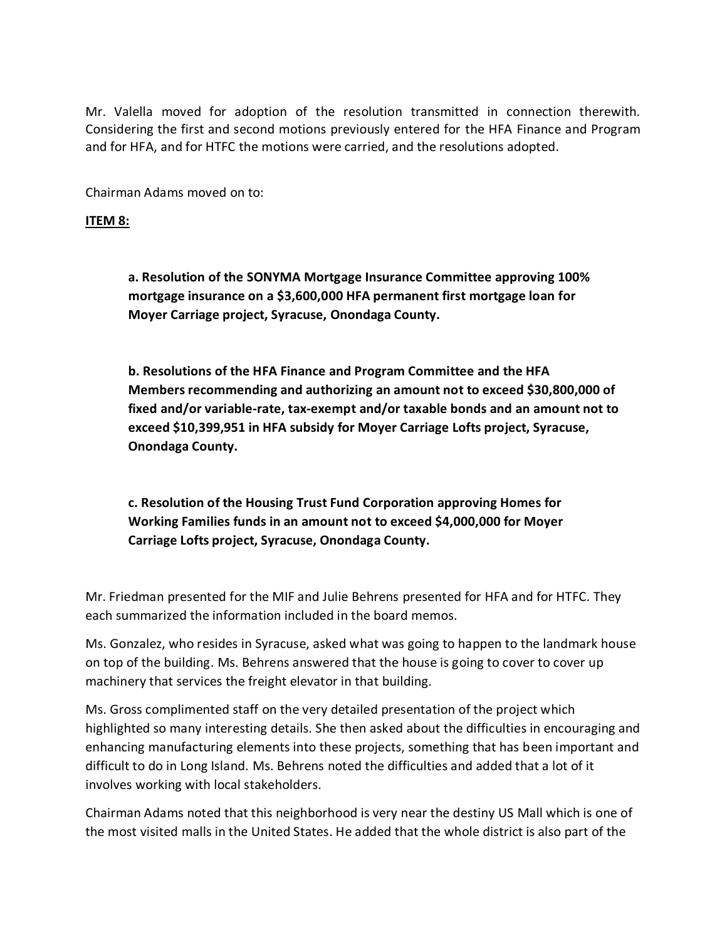Mr. Valella moved for adoption of the resolution transmitted in connection therewith. Considering the first and second motions previously entered for the HFA Finance and Program and for HFA, and for HTFC the motions were carried, and the resolutions adopted.

Chairman Adams moved on to:

### **ITEM 8:**

**a. Resolution of the SONYMA Mortgage Insurance Committee approving 100% mortgage insurance on a \$3,600,000 HFA permanent first mortgage loan for Moyer Carriage project, Syracuse, Onondaga County.**

**b. Resolutions of the HFA Finance and Program Committee and the HFA Members recommending and authorizing an amount not to exceed \$30,800,000 of fixed and/or variable-rate, tax-exempt and/or taxable bonds and an amount not to exceed \$10,399,951 in HFA subsidy for Moyer Carriage Lofts project, Syracuse, Onondaga County.**

**c. Resolution of the Housing Trust Fund Corporation approving Homes for Working Families funds in an amount not to exceed \$4,000,000 for Moyer Carriage Lofts project, Syracuse, Onondaga County.**

Mr. Friedman presented for the MIF and Julie Behrens presented for HFA and for HTFC. They each summarized the information included in the board memos.

Ms. Gonzalez, who resides in Syracuse, asked what was going to happen to the landmark house on top of the building. Ms. Behrens answered that the house is going to cover to cover up machinery that services the freight elevator in that building.

Ms. Gross complimented staff on the very detailed presentation of the project which highlighted so many interesting details. She then asked about the difficulties in encouraging and enhancing manufacturing elements into these projects, something that has been important and difficult to do in Long Island. Ms. Behrens noted the difficulties and added that a lot of it involves working with local stakeholders.

Chairman Adams noted that this neighborhood is very near the destiny US Mall which is one of the most visited malls in the United States. He added that the whole district is also part of the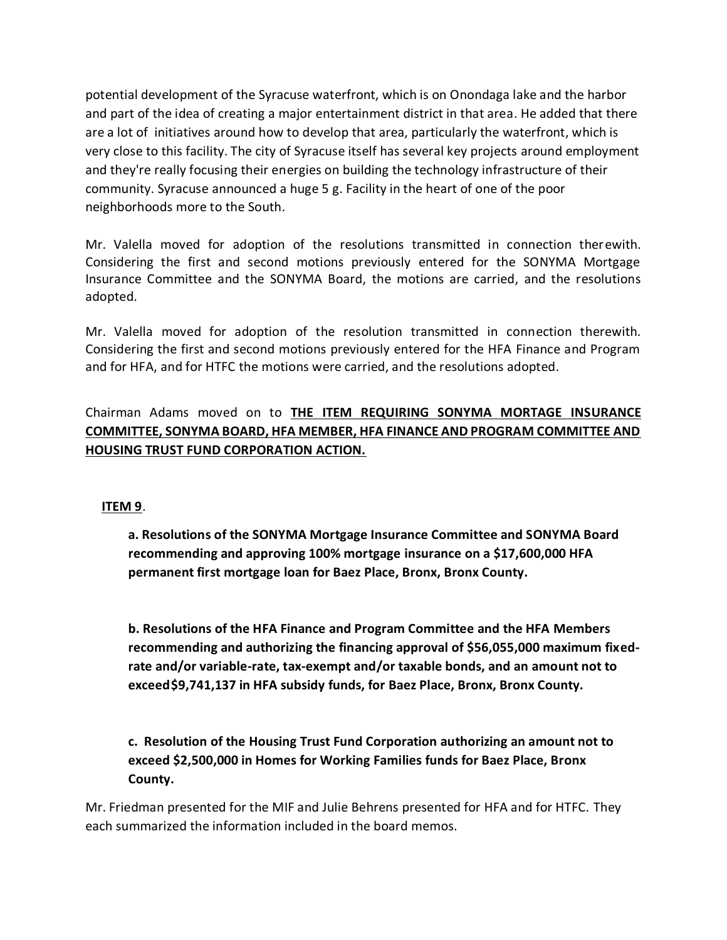potential development of the Syracuse waterfront, which is on Onondaga lake and the harbor and part of the idea of creating a major entertainment district in that area. He added that there are a lot of initiatives around how to develop that area, particularly the waterfront, which is very close to this facility. The city of Syracuse itself has several key projects around employment and they're really focusing their energies on building the technology infrastructure of their community. Syracuse announced a huge 5 g. Facility in the heart of one of the poor neighborhoods more to the South.

Mr. Valella moved for adoption of the resolutions transmitted in connection therewith. Considering the first and second motions previously entered for the SONYMA Mortgage Insurance Committee and the SONYMA Board, the motions are carried, and the resolutions adopted.

Mr. Valella moved for adoption of the resolution transmitted in connection therewith. Considering the first and second motions previously entered for the HFA Finance and Program and for HFA, and for HTFC the motions were carried, and the resolutions adopted.

Chairman Adams moved on to **THE ITEM REQUIRING SONYMA MORTAGE INSURANCE COMMITTEE, SONYMA BOARD, HFA MEMBER, HFA FINANCE AND PROGRAM COMMITTEE AND HOUSING TRUST FUND CORPORATION ACTION.**

## **ITEM 9**.

**a. Resolutions of the SONYMA Mortgage Insurance Committee and SONYMA Board recommending and approving 100% mortgage insurance on a \$17,600,000 HFA permanent first mortgage loan for Baez Place, Bronx, Bronx County.**

**b. Resolutions of the HFA Finance and Program Committee and the HFA Members recommending and authorizing the financing approval of \$56,055,000 maximum fixedrate and/or variable-rate, tax-exempt and/or taxable bonds, and an amount not to exceed\$9,741,137 in HFA subsidy funds, for Baez Place, Bronx, Bronx County.** 

**c. Resolution of the Housing Trust Fund Corporation authorizing an amount not to exceed \$2,500,000 in Homes for Working Families funds for Baez Place, Bronx County.**

Mr. Friedman presented for the MIF and Julie Behrens presented for HFA and for HTFC. They each summarized the information included in the board memos.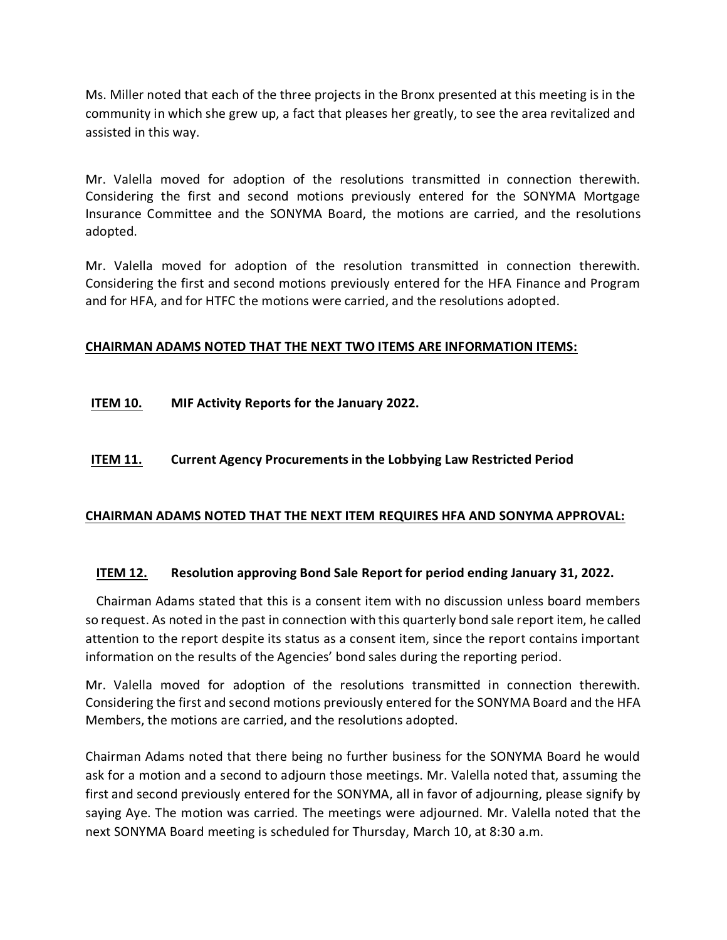Ms. Miller noted that each of the three projects in the Bronx presented at this meeting is in the community in which she grew up, a fact that pleases her greatly, to see the area revitalized and assisted in this way.

Mr. Valella moved for adoption of the resolutions transmitted in connection therewith. Considering the first and second motions previously entered for the SONYMA Mortgage Insurance Committee and the SONYMA Board, the motions are carried, and the resolutions adopted.

Mr. Valella moved for adoption of the resolution transmitted in connection therewith. Considering the first and second motions previously entered for the HFA Finance and Program and for HFA, and for HTFC the motions were carried, and the resolutions adopted.

## **CHAIRMAN ADAMS NOTED THAT THE NEXT TWO ITEMS ARE INFORMATION ITEMS:**

**ITEM 10. MIF Activity Reports for the January 2022.** 

## **ITEM 11. Current Agency Procurements in the Lobbying Law Restricted Period**

### **CHAIRMAN ADAMS NOTED THAT THE NEXT ITEM REQUIRES HFA AND SONYMA APPROVAL:**

### **ITEM 12. Resolution approving Bond Sale Report for period ending January 31, 2022.**

Chairman Adams stated that this is a consent item with no discussion unless board members so request. As noted in the past in connection with this quarterly bond sale report item, he called attention to the report despite its status as a consent item, since the report contains important information on the results of the Agencies' bond sales during the reporting period.

Mr. Valella moved for adoption of the resolutions transmitted in connection therewith. Considering the first and second motions previously entered for the SONYMA Board and the HFA Members, the motions are carried, and the resolutions adopted.

Chairman Adams noted that there being no further business for the SONYMA Board he would ask for a motion and a second to adjourn those meetings. Mr. Valella noted that, assuming the first and second previously entered for the SONYMA, all in favor of adjourning, please signify by saying Aye. The motion was carried. The meetings were adjourned. Mr. Valella noted that the next SONYMA Board meeting is scheduled for Thursday, March 10, at 8:30 a.m.